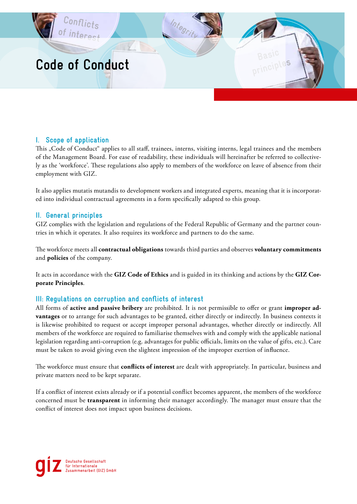

# **I. Scope of application**

This "Code of Conduct" applies to all staff, trainees, interns, visiting interns, legal trainees and the members of the Management Board. For ease of readability, these individuals will hereinafter be referred to collectively as the 'workforce'. These regulations also apply to members of the workforce on leave of absence from their employment with GIZ.

It also applies mutatis mutandis to development workers and integrated experts, meaning that it is incorporated into individual contractual agreements in a form specifically adapted to this group.

# **II. General principles**

GIZ complies with the legislation and regulations of the Federal Republic of Germany and the partner countries in which it operates. It also requires its workforce and partners to do the same.

The workforce meets all **contractual obligations** towards third parties and observes **voluntary commitments** and **policies** of the company.

It acts in accordance with the **GIZ Code of Ethics** and is guided in its thinking and actions by the **GIZ Corporate Principles**.

# **III: Regulations on corruption and conflicts of interest**

All forms of **active and passive bribery** are prohibited. It is not permissible to offer or grant **improper advantages** or to arrange for such advantages to be granted, either directly or indirectly. In business contexts it is likewise prohibited to request or accept improper personal advantages, whether directly or indirectly. All members of the workforce are required to familiarise themselves with and comply with the applicable national legislation regarding anti-corruption (e.g. advantages for public officials, limits on the value of gifts, etc.). Care must be taken to avoid giving even the slightest impression of the improper exertion of influence.

The workforce must ensure that **conflicts of interest** are dealt with appropriately. In particular, business and private matters need to be kept separate.

If a conflict of interest exists already or if a potential conflict becomes apparent, the members of the workforce concerned must be **transparent** in informing their manager accordingly. The manager must ensure that the conflict of interest does not impact upon business decisions.

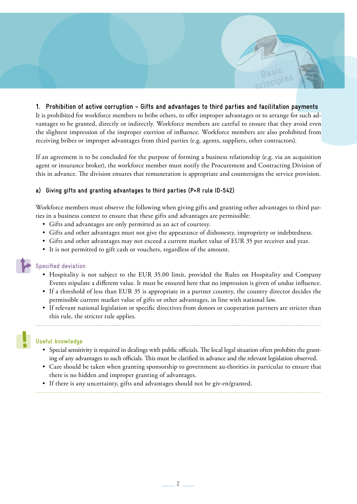## **1. Prohibition of active corruption – Gifts and advantages to third parties and facilitation payments**  It is prohibited for workforce members to bribe others, to offer improper advantages or to arrange for such advantages to be granted, directly or indirectly. Workforce members are careful to ensure that they avoid even the slightest impression of the improper exertion of influence. Workforce members are also prohibited from receiving bribes or improper advantages from third parties (e.g. agents, suppliers, other contractors).

**Basic principles**

If an agreement is to be concluded for the purpose of forming a business relationship (e.g. via an acquisition agent or insurance broker), the workforce member must notify the Procurement and Contracting Division of this in advance. The division ensures that remuneration is appropriate and countersigns the service provision.

### **a) Giving gifts and granting advantages to third parties (P+R rule ID-542)**

Workforce members must observe the following when giving gifts and granting other advantages to third parties in a business context to ensure that these gifts and advantages are permissible:

- Gifts and advantages are only permitted as an act of courtesy.
- Gifts and other advantages must not give the appearance of dishonesty, impropriety or indebtedness.
- Gifts and other advantages may not exceed a current market value of EUR 35 per receiver and year.
- It is not permitted to gift cash or vouchers, regardless of the amount.

### **Specified deviation**

- Hospitality is not subject to the EUR 35.00 limit, provided the Rules on Hospitality and Company Events stipulate a different value. It must be ensured here that no impression is given of undue influence.
- If a threshold of less than EUR 35 is appropriate in a partner country, the country director decides the permissible current market value of gifts or other advantages, in line with national law.
- If relevant national legislation or specific directives from donors or cooperation partners are stricter than this rule, the stricter rule applies.

## **Useful knowledge**

- Special sensitivity is required in dealings with public officials. The local legal situation often prohibits the granting of any advantages to such officials. This must be clarified in advance and the relevant legislation observed.
- Care should be taken when granting sponsorship to government au-thorities in particular to ensure that there is no hidden and improper granting of advantages.
- If there is any uncertainty, gifts and advantages should not be giv-en/granted.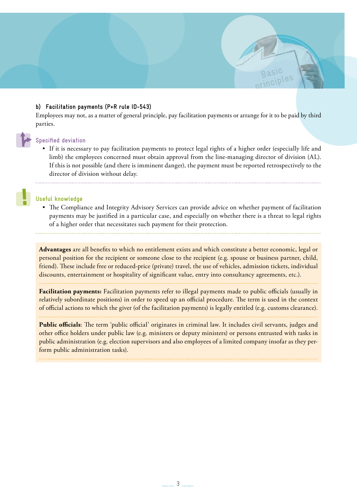### **b) Facilitation payments (P+R rule ID-543)**

Employees may not, as a matter of general principle, pay facilitation payments or arrange for it to be paid by third parties.

**Basic principles**

#### **Specified deviation**

• If it is necessary to pay facilitation payments to protect legal rights of a higher order (especially life and limb) the employees concerned must obtain approval from the line-managing director of division (AL). If this is not possible (and there is imminent danger), the payment must be reported retrospectively to the director of division without delay.

### **Useful knowledge**

• The Compliance and Integrity Advisory Services can provide advice on whether payment of facilitation payments may be justified in a particular case, and especially on whether there is a threat to legal rights of a higher order that necessitates such payment for their protection.

**Advantages** are all benefits to which no entitlement exists and which constitute a better economic, legal or personal position for the recipient or someone close to the recipient (e.g. spouse or business partner, child, friend). These include free or reduced-price (private) travel, the use of vehicles, admission tickets, individual discounts, entertainment or hospitality of significant value, entry into consultancy agreements, etc.).

**Facilitation payments:** Facilitation payments refer to illegal payments made to public officials (usually in relatively subordinate positions) in order to speed up an official procedure. The term is used in the context of official actions to which the giver (of the facilitation payments) is legally entitled (e.g. customs clearance).

**Public officials**: The term 'public official' originates in criminal law. It includes civil servants, judges and other office holders under public law (e.g. ministers or deputy ministers) or persons entrusted with tasks in public administration (e.g. election supervisors and also employees of a limited company insofar as they perform public administration tasks).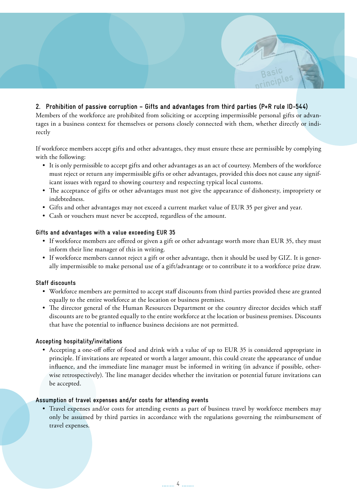# **2. Prohibition of passive corruption – Gifts and advantages from third parties (P+R rule ID-544)**

Members of the workforce are prohibited from soliciting or accepting impermissible personal gifts or advantages in a business context for themselves or persons closely connected with them, whether directly or indirectly

**Basic principles**

If workforce members accept gifts and other advantages, they must ensure these are permissible by complying with the following:

- It is only permissible to accept gifts and other advantages as an act of courtesy. Members of the workforce must reject or return any impermissible gifts or other advantages, provided this does not cause any significant issues with regard to showing courtesy and respecting typical local customs.
- The acceptance of gifts or other advantages must not give the appearance of dishonesty, impropriety or indebtedness.
- Gifts and other advantages may not exceed a current market value of EUR 35 per giver and year.
- Cash or vouchers must never be accepted, regardless of the amount.

### **Gifts and advantages with a value exceeding EUR 35**

- If workforce members are offered or given a gift or other advantage worth more than EUR 35, they must inform their line manager of this in writing.
- If workforce members cannot reject a gift or other advantage, then it should be used by GIZ. It is generally impermissible to make personal use of a gift/advantage or to contribute it to a workforce prize draw.

### **Staff discounts**

- Workforce members are permitted to accept staff discounts from third parties provided these are granted equally to the entire workforce at the location or business premises.
- The director general of the Human Resources Department or the country director decides which staff discounts are to be granted equally to the entire workforce at the location or business premises. Discounts that have the potential to influence business decisions are not permitted.

### **Accepting hospitality/invitations**

• Accepting a one-off offer of food and drink with a value of up to EUR 35 is considered appropriate in principle. If invitations are repeated or worth a larger amount, this could create the appearance of undue influence, and the immediate line manager must be informed in writing (in advance if possible, otherwise retrospectively). The line manager decides whether the invitation or potential future invitations can be accepted.

### **Assumption of travel expenses and/or costs for attending events**

• Travel expenses and/or costs for attending events as part of business travel by workforce members may only be assumed by third parties in accordance with the regulations governing the reimbursement of travel expenses.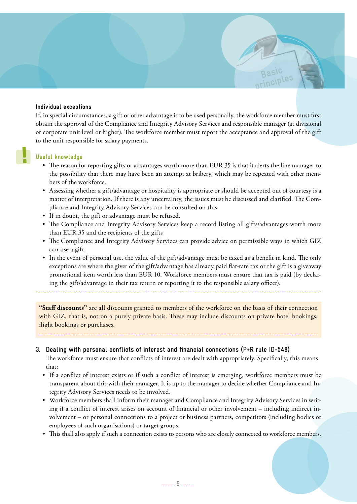#### **Individual exceptions**

If, in special circumstances, a gift or other advantage is to be used personally, the workforce member must first obtain the approval of the Compliance and Integrity Advisory Services and responsible manager (at divisional or corporate unit level or higher). The workforce member must report the acceptance and approval of the gift to the unit responsible for salary payments.

**Basic principles**

### **Useful knowledge**

- The reason for reporting gifts or advantages worth more than EUR 35 is that it alerts the line manager to the possibility that there may have been an attempt at bribery, which may be repeated with other members of the workforce.
- Assessing whether a gift/advantage or hospitality is appropriate or should be accepted out of courtesy is a matter of interpretation. If there is any uncertainty, the issues must be discussed and clarified. The Compliance and Integrity Advisory Services can be consulted on this
- If in doubt, the gift or advantage must be refused.
- The Compliance and Integrity Advisory Services keep a record listing all gifts/advantages worth more than EUR 35 and the recipients of the gifts
- The Compliance and Integrity Advisory Services can provide advice on permissible ways in which GIZ can use a gift.
- In the event of personal use, the value of the gift/advantage must be taxed as a benefit in kind. The only exceptions are where the giver of the gift/advantage has already paid flat-rate tax or the gift is a giveaway promotional item worth less than EUR 10. Workforce members must ensure that tax is paid (by declaring the gift/advantage in their tax return or reporting it to the responsible salary officer).

**"Staff discounts"** are all discounts granted to members of the workforce on the basis of their connection with GIZ, that is, not on a purely private basis. These may include discounts on private hotel bookings, flight bookings or purchases.

### **3. Dealing with personal conflicts of interest and financial connections (P+R rule ID-548)**

The workforce must ensure that conflicts of interest are dealt with appropriately. Specifically, this means that:

- If a conflict of interest exists or if such a conflict of interest is emerging, workforce members must be transparent about this with their manager. It is up to the manager to decide whether Compliance and Integrity Advisory Services needs to be involved.
- Workforce members shall inform their manager and Compliance and Integrity Advisory Services in writing if a conflict of interest arises on account of financial or other involvement – including indirect involvement – or personal connections to a project or business partners, competitors (including bodies or employees of such organisations) or target groups.
- This shall also apply if such a connection exists to persons who are closely connected to workforce members.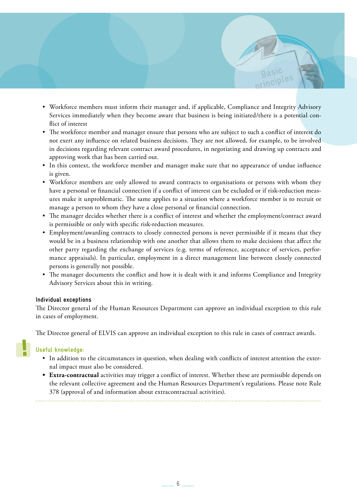• Workforce members must inform their manager and, if applicable, Compliance and Integrity Advisory Services immediately when they become aware that business is being initiated/there is a potential conflict of interest

**Basic principles**

- The workforce member and manager ensure that persons who are subject to such a conflict of interest do not exert any influence on related business decisions. They are not allowed, for example, to be involved in decisions regarding relevant contract award procedures, in negotiating and drawing up contracts and approving work that has been carried out.
- In this context, the workforce member and manager make sure that no appearance of undue influence is given.
- Workforce members are only allowed to award contracts to organisations or persons with whom they have a personal or financial connection if a conflict of interest can be excluded or if risk-reduction measures make it unproblematic. The same applies to a situation where a workforce member is to recruit or manage a person to whom they have a close personal or financial connection.
- The manager decides whether there is a conflict of interest and whether the employment/contract award is permissible or only with specific risk-reduction measures.
- Employment/awarding contracts to closely connected persons is never permissible if it means that they would be in a business relationship with one another that allows them to make decisions that affect the other party regarding the exchange of services (e.g. terms of reference, acceptance of services, performance appraisals). In particular, employment in a direct management line between closely connected persons is generally not possible.
- The manager documents the conflict and how it is dealt with it and informs Compliance and Integrity Advisory Services about this in writing.

### **Individual exceptions**

The Director general of the Human Resources Department can approve an individual exception to this rule in cases of employment.

The Director general of ELVIS can approve an individual exception to this rule in cases of contract awards.

### **Useful knowledge:**

- In addition to the circumstances in question, when dealing with conflicts of interest attention the external impact must also be considered.
- **• Extra-contractual** activities may trigger a conflict of interest. Whether these are permissible depends on the relevant collective agreement and the Human Resources Department's regulations. Please note Rule 378 (approval of and information about extracontractual activities).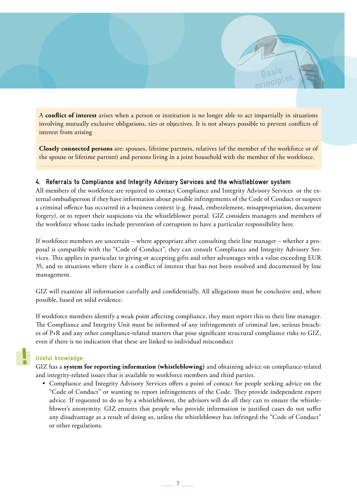A **conflict of interest** arises when a person or institution is no longer able to act impartially in situations involving mutually exclusive obligations, ties or objectives. It is not always possible to prevent conflicts of interest from arising

**Basic principles**

**Closely connected persons** are: spouses, lifetime partners, relatives (of the member of the workforce or of the spouse or lifetime partner) and persons living in a joint household with the member of the workforce.

### **4. Referrals to Compliance and Integrity Advisory Services and the whistleblower system**

All members of the workforce are required to contact Compliance and Integrity Advisory Services or the external ombudsperson if they have information about possible infringements of the Code of Conduct or suspect a criminal offence has occurred in a business context (e.g. fraud, embezzlement, misappropriation, document forgery), or to report their suspicions via the whistleblower portal. GIZ considers managers and members of the workforce whose tasks include prevention of corruption to have a particular responsibility here.

If workforce members are uncertain – where appropriate after consulting their line manager – whether a proposal is compatible with the "Code of Conduct", they can consult Compliance and Integrity Advisory Services. This applies in particular to giving or accepting gifts and other advantages with a value exceeding EUR 35, and to situations where there is a conflict of interest that has not been resolved and documented by line management.

GIZ will examine all information carefully and confidentially. All allegations must be conclusive and, where possible, based on solid evidence.

If workforce members identify a weak point affecting compliance, they must report this to their line manager. The Compliance and Integrity Unit must be informed of any infringements of criminal law, serious breaches of P+R and any other compliance-related matters that pose significant structural compliance risks to GIZ, even if there is no indication that these are linked to individual misconduct

### **Useful knowledge:**

GIZ has a **system for reporting information (whistleblowing)** and obtaining advice on compliance-related and integrity-related issues that is available to workforce members and third parties.

• Compliance and Integrity Advisory Services offers a point of contact for people seeking advice on the "Code of Conduct" or wanting to report infringements of the Code. They provide independent expert advice. If requested to do so by a whistleblower, the advisors will do all they can to ensure the whistleblower's anonymity. GIZ ensures that people who provide information in justified cases do not suffer any disadvantage as a result of doing so, unless the whistleblower has infringed the "Code of Conduct" or other regulations.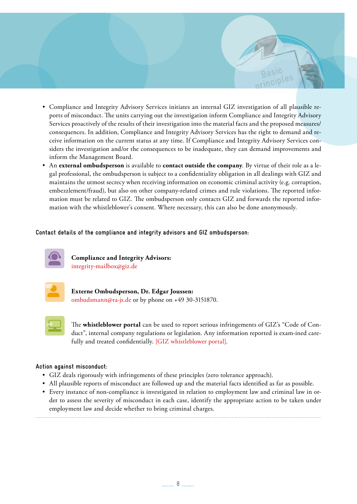• Compliance and Integrity Advisory Services initiates an internal GIZ investigation of all plausible reports of misconduct. The units carrying out the investigation inform Compliance and Integrity Advisory Services proactively of the results of their investigation into the material facts and the proposed measures/ consequences. In addition, Compliance and Integrity Advisory Services has the right to demand and receive information on the current status at any time. If Compliance and Integrity Advisory Services considers the investigation and/or the consequences to be inadequate, they can demand improvements and inform the Management Board.

**Basic principles**

• An **external ombudsperson** is available to **contact outside the company**. By virtue of their role as a legal professional, the ombudsperson is subject to a confidentiality obligation in all dealings with GIZ and maintains the utmost secrecy when receiving information on economic criminal activity (e.g. corruption, embezzlement/fraud), but also on other company-related crimes and rule violations. The reported information must be related to GIZ. The ombudsperson only contacts GIZ and forwards the reported information with the whistleblower's consent. Where necessary, this can also be done anonymously.

### **Contact details of the compliance and integrity advisors and GIZ ombudsperson:**



**Compliance and Integrity Advisors:**  [integrity-mailbox@giz.de](mailto:integrity-mailbox@giz.de)



**Externe Ombudsperson, Dr. Edgar Joussen:** [ombudsmann@ra-js.de](mailto:ombudsmann%40ra-js.de?subject=) or by phone on +49 30-3151870.



The **whistleblower portal** can be used to report serious infringements of GIZ's "Code of Conduct", internal company regulations or legislation. Any information reported is exam-ined carefully and treated confidentially. [\[GIZ whistleblower portal\]](https://www.bkms-system.com/bkwebanon/report/clientInfo?cin=26zig7&language=eng).

### **Action against misconduct:**

- GIZ deals rigorously with infringements of these principles (zero tolerance approach).
- All plausible reports of misconduct are followed up and the material facts identified as far as possible.
- Every instance of non-compliance is investigated in relation to employment law and criminal law in order to assess the severity of misconduct in each case, identify the appropriate action to be taken under employment law and decide whether to bring criminal charges.